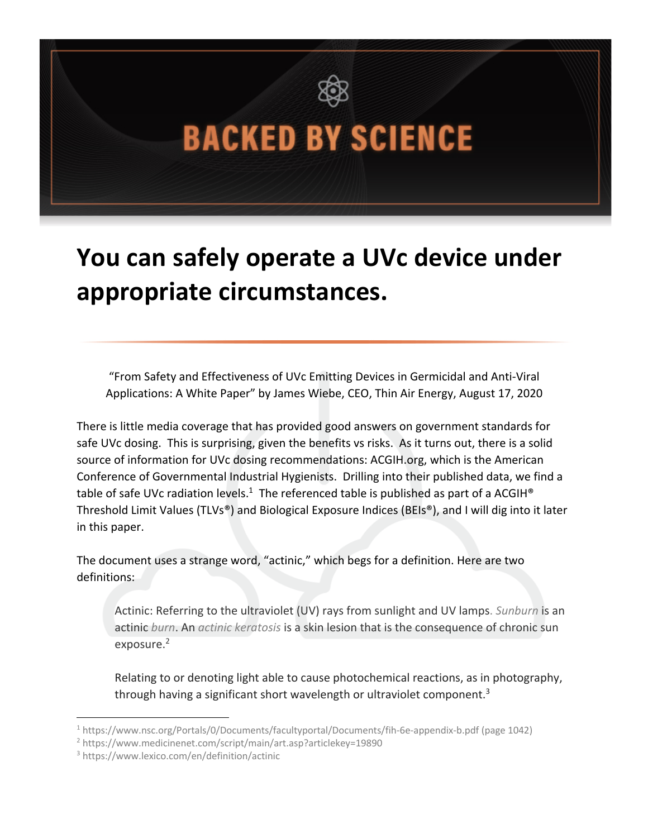## **BACKED BY SCIENCE**

## **You can safely operate a UVc device under appropriate circumstances.**

"From Safety and Effectiveness of UVc Emitting Devices in Germicidal and Anti-Viral Applications: A White Paper" by James Wiebe, CEO, Thin Air Energy, August 17, 2020

There is little media coverage that has provided good answers on government standards for safe UVc dosing. This is surprising, given the benefits vs risks. As it turns out, there is a solid source of information for UVc dosing recommendations: ACGIH.org, which is the American Conference of Governmental Industrial Hygienists. Drilling into their published data, we find a table of safe UVc radiation levels.<sup>1</sup> The referenced table is published as part of a ACGIH<sup>®</sup> Threshold Limit Values (TLVs®) and Biological Exposure Indices (BEIs®), and I will dig into it later in this paper.

The document uses a strange word, "actinic," which begs for a definition. Here are two definitions:

Actinic: Referring to the ultraviolet (UV) rays from sunlight and UV lamps. *Sunburn* is an actinic *burn*. An *actinic keratosis* is a skin lesion that is the consequence of chronic sun exposure.<sup>2</sup>

Relating to or denoting light able to cause photochemical reactions, as in photography, through having a significant short wavelength or ultraviolet component.<sup>3</sup>

<sup>1</sup> https://www.nsc.org/Portals/0/Documents/facultyportal/Documents/fih-6e-appendix-b.pdf (page 1042)

<sup>2</sup> https://www.medicinenet.com/script/main/art.asp?articlekey=19890

<sup>3</sup> https://www.lexico.com/en/definition/actinic